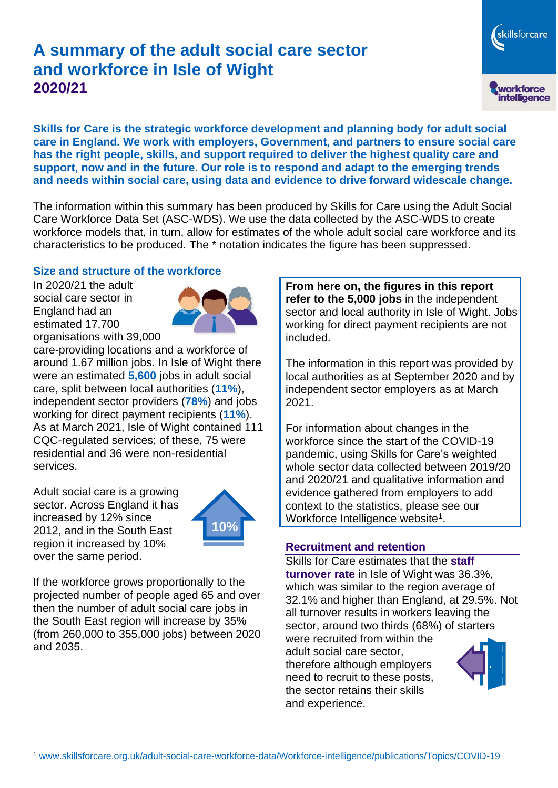# **A summary of the adult social care sector and workforce in Isle of Wight 2020/21**

**Skills for Care is the strategic workforce development and planning body for adult social care in England. We work with employers, Government, and partners to ensure social care has the right people, skills, and support required to deliver the highest quality care and support, now and in the future. Our role is to respond and adapt to the emerging trends and needs within social care, using data and evidence to drive forward widescale change.**

The information within this summary has been produced by Skills for Care using the Adult Social Care Workforce Data Set (ASC-WDS). We use the data collected by the ASC-WDS to create workforce models that, in turn, allow for estimates of the whole adult social care workforce and its characteristics to be produced. The \* notation indicates the figure has been suppressed.

#### **Size and structure of the workforce**

In 2020/21 the adult social care sector in England had an estimated 17,700 organisations with 39,000



care-providing locations and a workforce of around 1.67 million jobs. In Isle of Wight there were an estimated **5,600** jobs in adult social care, split between local authorities (**11%**), independent sector providers (**78%**) and jobs working for direct payment recipients (**11%**). As at March 2021, Isle of Wight contained 111 CQC-regulated services; of these, 75 were residential and 36 were non-residential services.

Adult social care is a growing sector. Across England it has increased by 12% since 2012, and in the South East region it increased by 10% over the same period.



If the workforce grows proportionally to the projected number of people aged 65 and over then the number of adult social care jobs in the South East region will increase by 35% (from 260,000 to 355,000 jobs) between 2020 and 2035.

**From here on, the figures in this report refer to the 5,000 jobs** in the independent sector and local authority in Isle of Wight. Jobs working for direct payment recipients are not included.

The information in this report was provided by local authorities as at September 2020 and by independent sector employers as at March 2021.

For information about changes in the workforce since the start of the COVID-19 pandemic, using Skills for Care's weighted whole sector data collected between 2019/20 and 2020/21 and qualitative information and evidence gathered from employers to add context to the statistics, please see our Workforce Intelligence website<sup>1</sup>.

#### **Recruitment and retention**

Skills for Care estimates that the **staff turnover rate** in Isle of Wight was 36.3%, which was similar to the region average of 32.1% and higher than England, at 29.5%. Not all turnover results in workers leaving the sector, around two thirds (68%) of starters were recruited from within the

adult social care sector, therefore although employers need to recruit to these posts, the sector retains their skills and experience.



skillsforcare

workforce<br>intelligence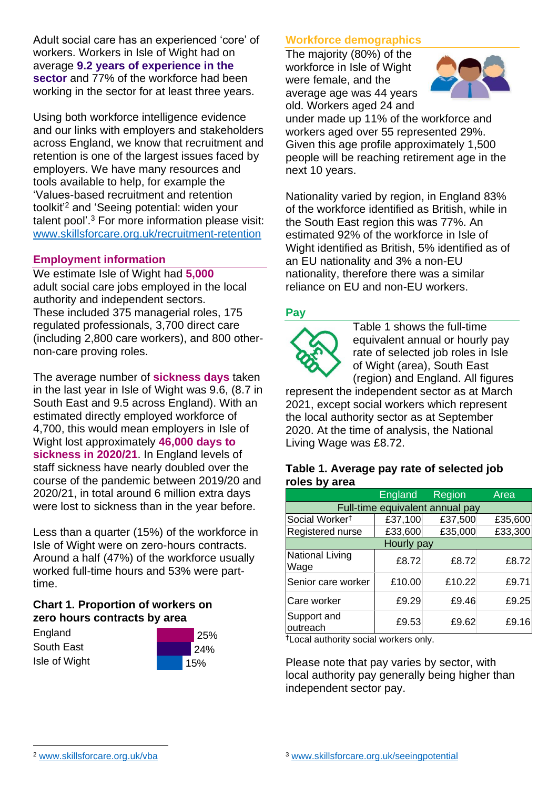Adult social care has an experienced 'core' of workers. Workers in Isle of Wight had on average **9.2 years of experience in the sector** and 77% of the workforce had been working in the sector for at least three years.

Using both workforce intelligence evidence and our links with employers and stakeholders across England, we know that recruitment and retention is one of the largest issues faced by employers. We have many resources and tools available to help, for example the 'Values-based recruitment and retention toolkit'<sup>2</sup> and 'Seeing potential: widen your talent pool'. <sup>3</sup> For more information please visit: [www.skillsforcare.org.uk/recruitment-retention](http://www.skillsforcare.org.uk/recruitment-retention)

#### **Employment information**

We estimate Isle of Wight had **5,000** adult social care jobs employed in the local authority and independent sectors. These included 375 managerial roles, 175 regulated professionals, 3,700 direct care (including 2,800 care workers), and 800 othernon-care proving roles.

The average number of **sickness days** taken in the last year in Isle of Wight was 9.6, (8.7 in South East and 9.5 across England). With an estimated directly employed workforce of 4,700, this would mean employers in Isle of Wight lost approximately **46,000 days to sickness in 2020/21**. In England levels of staff sickness have nearly doubled over the course of the pandemic between 2019/20 and 2020/21, in total around 6 million extra days were lost to sickness than in the year before.

Less than a quarter (15%) of the workforce in Isle of Wight were on zero-hours contracts. Around a half (47%) of the workforce usually worked full-time hours and 53% were parttime.

### **Chart 1. Proportion of workers on zero hours contracts by area**

**England** South East Isle of Wight



### **Workforce demographics**

The majority (80%) of the workforce in Isle of Wight were female, and the average age was 44 years old. Workers aged 24 and



under made up 11% of the workforce and workers aged over 55 represented 29%. Given this age profile approximately 1,500 people will be reaching retirement age in the next 10 years.

Nationality varied by region, in England 83% of the workforce identified as British, while in the South East region this was 77%. An estimated 92% of the workforce in Isle of Wight identified as British, 5% identified as of an EU nationality and 3% a non-EU nationality, therefore there was a similar reliance on EU and non-EU workers.

### **Pay**



Table 1 shows the full-time equivalent annual or hourly pay rate of selected job roles in Isle of Wight (area), South East (region) and England. All figures

represent the independent sector as at March 2021, except social workers which represent the local authority sector as at September 2020. At the time of analysis, the National Living Wage was £8.72.

#### **Table 1. Average pay rate of selected job roles by area**

|                                 | <b>England</b> | <b>Region</b> | Area    |
|---------------------------------|----------------|---------------|---------|
| Full-time equivalent annual pay |                |               |         |
| Social Worker <sup>t</sup>      | £37,100        | £37,500       | £35,600 |
| Registered nurse                | £33,600        | £35,000       | £33,300 |
| Hourly pay                      |                |               |         |
| National Living<br>Wage         | £8.72          | £8.72         | £8.72   |
| Senior care worker              | £10.00         | £10.22        | £9.71   |
| Care worker                     | £9.29          | £9.46         | £9.25   |
| Support and<br>outreach         | £9.53          | £9.62         | £9.16   |

†Local authority social workers only.

Please note that pay varies by sector, with local authority pay generally being higher than independent sector pay.